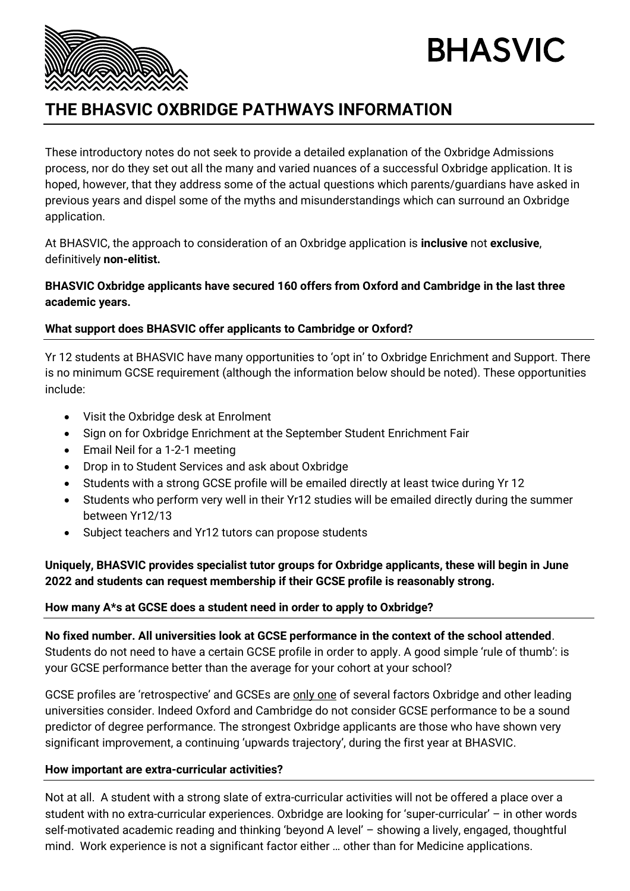

# **BHASVIC**

# **THE BHASVIC OXBRIDGE PATHWAYS INFORMATION**

These introductory notes do not seek to provide a detailed explanation of the Oxbridge Admissions process, nor do they set out all the many and varied nuances of a successful Oxbridge application. It is hoped, however, that they address some of the actual questions which parents/guardians have asked in previous years and dispel some of the myths and misunderstandings which can surround an Oxbridge application.

At BHASVIC, the approach to consideration of an Oxbridge application is **inclusive** not **exclusive**, definitively **non-elitist.**

#### **BHASVIC Oxbridge applicants have secured 160 offers from Oxford and Cambridge in the last three academic years.**

# **What support does BHASVIC offer applicants to Cambridge or Oxford?**

Yr 12 students at BHASVIC have many opportunities to 'opt in' to Oxbridge Enrichment and Support. There is no minimum GCSE requirement (although the information below should be noted). These opportunities include:

- Visit the Oxbridge desk at Enrolment
- Sign on for Oxbridge Enrichment at the September Student Enrichment Fair
- Email Neil for a 1-2-1 meeting
- Drop in to Student Services and ask about Oxbridge
- Students with a strong GCSE profile will be emailed directly at least twice during Yr 12
- Students who perform very well in their Yr12 studies will be emailed directly during the summer between Yr12/13
- Subject teachers and Yr12 tutors can propose students

# **Uniquely, BHASVIC provides specialist tutor groups for Oxbridge applicants, these will begin in June 2022 and students can request membership if their GCSE profile is reasonably strong.**

# **How many A\*s at GCSE does a student need in order to apply to Oxbridge?**

**No fixed number. All universities look at GCSE performance in the context of the school attended**. Students do not need to have a certain GCSE profile in order to apply. A good simple 'rule of thumb': is your GCSE performance better than the average for your cohort at your school?

GCSE profiles are 'retrospective' and GCSEs are only one of several factors Oxbridge and other leading universities consider. Indeed Oxford and Cambridge do not consider GCSE performance to be a sound predictor of degree performance. The strongest Oxbridge applicants are those who have shown very significant improvement, a continuing 'upwards trajectory', during the first year at BHASVIC.

# **How important are extra-curricular activities?**

Not at all. A student with a strong slate of extra-curricular activities will not be offered a place over a student with no extra-curricular experiences. Oxbridge are looking for 'super-curricular' – in other words self-motivated academic reading and thinking 'beyond A level' – showing a lively, engaged, thoughtful mind. Work experience is not a significant factor either … other than for Medicine applications.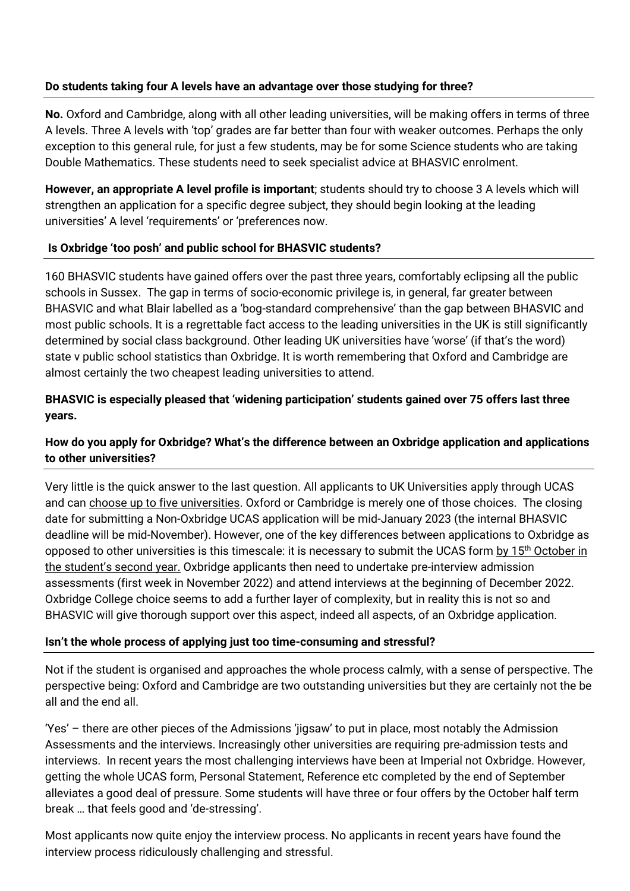#### **Do students taking four A levels have an advantage over those studying for three?**

**No.** Oxford and Cambridge, along with all other leading universities, will be making offers in terms of three A levels. Three A levels with 'top' grades are far better than four with weaker outcomes. Perhaps the only exception to this general rule, for just a few students, may be for some Science students who are taking Double Mathematics. These students need to seek specialist advice at BHASVIC enrolment.

**However, an appropriate A level profile is important**; students should try to choose 3 A levels which will strengthen an application for a specific degree subject, they should begin looking at the leading universities' A level 'requirements' or 'preferences now.

#### **Is Oxbridge 'too posh' and public school for BHASVIC students?**

160 BHASVIC students have gained offers over the past three years, comfortably eclipsing all the public schools in Sussex. The gap in terms of socio-economic privilege is, in general, far greater between BHASVIC and what Blair labelled as a 'bog-standard comprehensive' than the gap between BHASVIC and most public schools. It is a regrettable fact access to the leading universities in the UK is still significantly determined by social class background. Other leading UK universities have 'worse' (if that's the word) state v public school statistics than Oxbridge. It is worth remembering that Oxford and Cambridge are almost certainly the two cheapest leading universities to attend.

#### **BHASVIC is especially pleased that 'widening participation' students gained over 75 offers last three years.**

# **How do you apply for Oxbridge? What's the difference between an Oxbridge application and applications to other universities?**

Very little is the quick answer to the last question. All applicants to UK Universities apply through UCAS and can choose up to five universities. Oxford or Cambridge is merely one of those choices. The closing date for submitting a Non-Oxbridge UCAS application will be mid-January 2023 (the internal BHASVIC deadline will be mid-November). However, one of the key differences between applications to Oxbridge as opposed to other universities is this timescale: it is necessary to submit the UCAS form by 15<sup>th</sup> October in the student's second year. Oxbridge applicants then need to undertake pre-interview admission assessments (first week in November 2022) and attend interviews at the beginning of December 2022. Oxbridge College choice seems to add a further layer of complexity, but in reality this is not so and BHASVIC will give thorough support over this aspect, indeed all aspects, of an Oxbridge application.

#### **Isn't the whole process of applying just too time-consuming and stressful?**

Not if the student is organised and approaches the whole process calmly, with a sense of perspective. The perspective being: Oxford and Cambridge are two outstanding universities but they are certainly not the be all and the end all.

'Yes' – there are other pieces of the Admissions 'jigsaw' to put in place, most notably the Admission Assessments and the interviews. Increasingly other universities are requiring pre-admission tests and interviews. In recent years the most challenging interviews have been at Imperial not Oxbridge. However, getting the whole UCAS form, Personal Statement, Reference etc completed by the end of September alleviates a good deal of pressure. Some students will have three or four offers by the October half term break … that feels good and 'de-stressing'.

Most applicants now quite enjoy the interview process. No applicants in recent years have found the interview process ridiculously challenging and stressful.